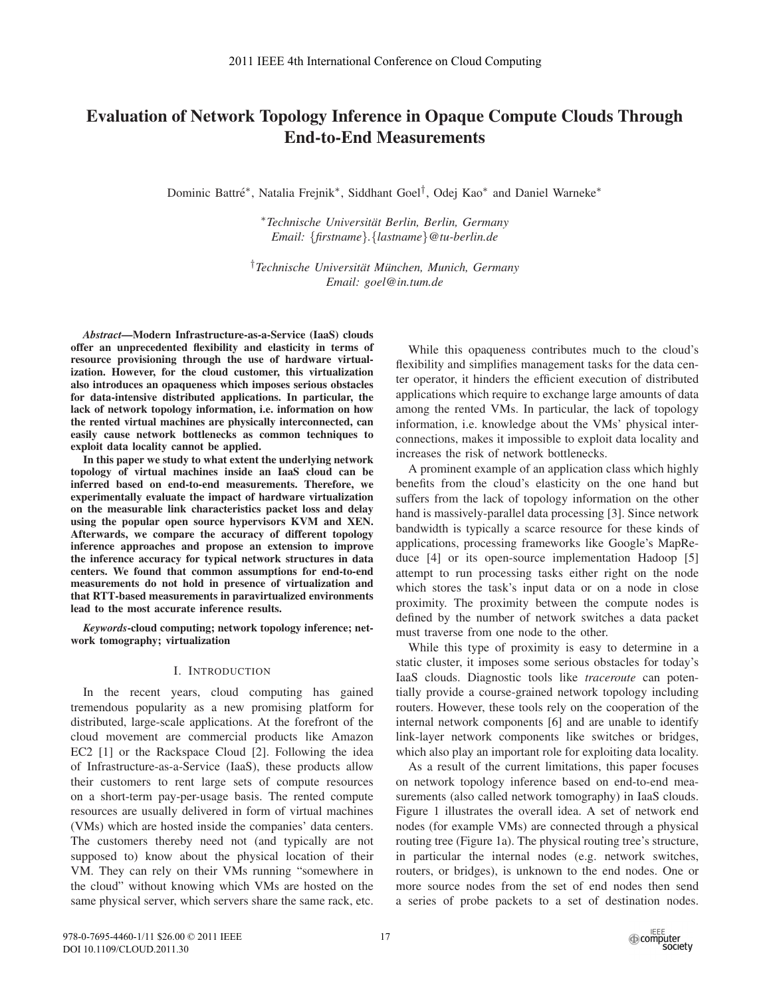# Evaluation of Network Topology Inference in Opaque Compute Clouds Through End-to-End Measurements

Dominic Battré<sup>\*</sup>, Natalia Frejnik<sup>\*</sup>, Siddhant Goel<sup>†</sup>, Odej Kao<sup>\*</sup> and Daniel Warneke<sup>\*</sup>

∗*Technische Universitat Berlin, Berlin, Germany ¨ Email:* {*firstname*}*.*{*lastname*}*@tu-berlin.de*

<sup>†</sup> Technische Universität München, Munich, Germany *Email: goel@in.tum.de*

*Abstract*—Modern Infrastructure-as-a-Service (IaaS) clouds offer an unprecedented flexibility and elasticity in terms of resource provisioning through the use of hardware virtualization. However, for the cloud customer, this virtualization also introduces an opaqueness which imposes serious obstacles for data-intensive distributed applications. In particular, the lack of network topology information, i.e. information on how the rented virtual machines are physically interconnected, can easily cause network bottlenecks as common techniques to exploit data locality cannot be applied.

In this paper we study to what extent the underlying network topology of virtual machines inside an IaaS cloud can be inferred based on end-to-end measurements. Therefore, we experimentally evaluate the impact of hardware virtualization on the measurable link characteristics packet loss and delay using the popular open source hypervisors KVM and XEN. Afterwards, we compare the accuracy of different topology inference approaches and propose an extension to improve the inference accuracy for typical network structures in data centers. We found that common assumptions for end-to-end measurements do not hold in presence of virtualization and that RTT-based measurements in paravirtualized environments lead to the most accurate inference results.

*Keywords*-cloud computing; network topology inference; network tomography; virtualization

## I. INTRODUCTION

In the recent years, cloud computing has gained tremendous popularity as a new promising platform for distributed, large-scale applications. At the forefront of the cloud movement are commercial products like Amazon EC2 [1] or the Rackspace Cloud [2]. Following the idea of Infrastructure-as-a-Service (IaaS), these products allow their customers to rent large sets of compute resources on a short-term pay-per-usage basis. The rented compute resources are usually delivered in form of virtual machines (VMs) which are hosted inside the companies' data centers. The customers thereby need not (and typically are not supposed to) know about the physical location of their VM. They can rely on their VMs running "somewhere in the cloud" without knowing which VMs are hosted on the same physical server, which servers share the same rack, etc.

While this opaqueness contributes much to the cloud's flexibility and simplifies management tasks for the data center operator, it hinders the efficient execution of distributed applications which require to exchange large amounts of data among the rented VMs. In particular, the lack of topology information, i.e. knowledge about the VMs' physical interconnections, makes it impossible to exploit data locality and increases the risk of network bottlenecks.

A prominent example of an application class which highly benefits from the cloud's elasticity on the one hand but suffers from the lack of topology information on the other hand is massively-parallel data processing [3]. Since network bandwidth is typically a scarce resource for these kinds of applications, processing frameworks like Google's MapReduce [4] or its open-source implementation Hadoop [5] attempt to run processing tasks either right on the node which stores the task's input data or on a node in close proximity. The proximity between the compute nodes is defined by the number of network switches a data packet must traverse from one node to the other.

While this type of proximity is easy to determine in a static cluster, it imposes some serious obstacles for today's IaaS clouds. Diagnostic tools like *traceroute* can potentially provide a course-grained network topology including routers. However, these tools rely on the cooperation of the internal network components [6] and are unable to identify link-layer network components like switches or bridges, which also play an important role for exploiting data locality.

As a result of the current limitations, this paper focuses on network topology inference based on end-to-end measurements (also called network tomography) in IaaS clouds. Figure 1 illustrates the overall idea. A set of network end nodes (for example VMs) are connected through a physical routing tree (Figure 1a). The physical routing tree's structure, in particular the internal nodes (e.g. network switches, routers, or bridges), is unknown to the end nodes. One or more source nodes from the set of end nodes then send a series of probe packets to a set of destination nodes.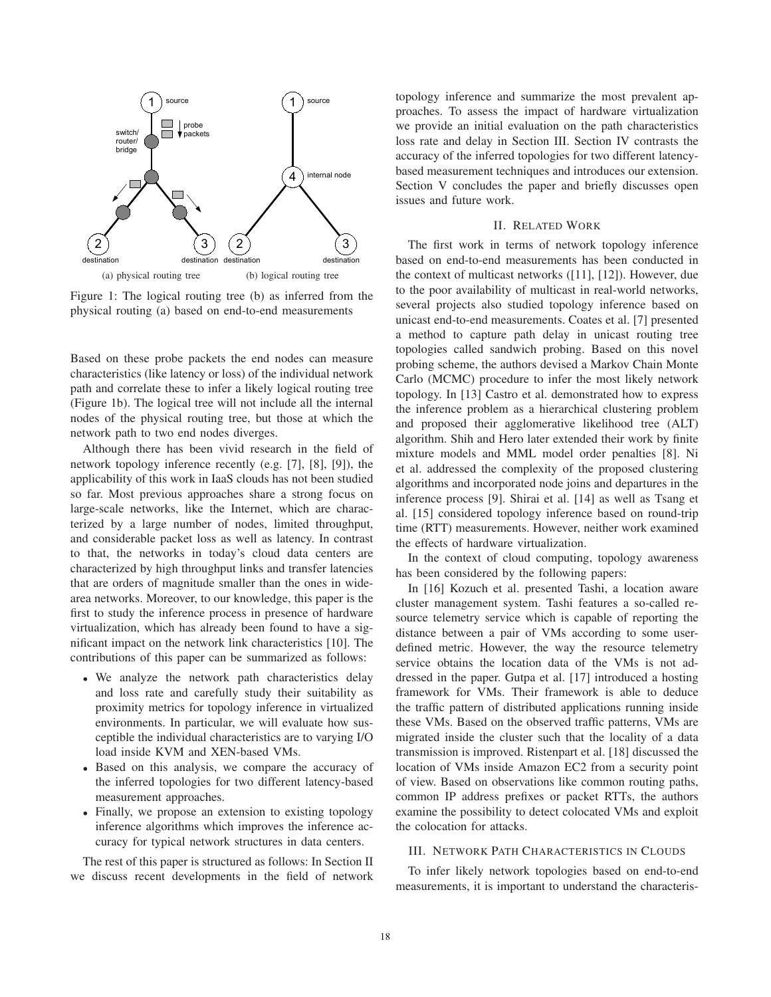

Figure 1: The logical routing tree (b) as inferred from the physical routing (a) based on end-to-end measurements

Based on these probe packets the end nodes can measure characteristics (like latency or loss) of the individual network path and correlate these to infer a likely logical routing tree (Figure 1b). The logical tree will not include all the internal nodes of the physical routing tree, but those at which the network path to two end nodes diverges.

Although there has been vivid research in the field of network topology inference recently (e.g. [7], [8], [9]), the applicability of this work in IaaS clouds has not been studied so far. Most previous approaches share a strong focus on large-scale networks, like the Internet, which are characterized by a large number of nodes, limited throughput, and considerable packet loss as well as latency. In contrast to that, the networks in today's cloud data centers are characterized by high throughput links and transfer latencies that are orders of magnitude smaller than the ones in widearea networks. Moreover, to our knowledge, this paper is the first to study the inference process in presence of hardware virtualization, which has already been found to have a significant impact on the network link characteristics [10]. The contributions of this paper can be summarized as follows:

- We analyze the network path characteristics delay and loss rate and carefully study their suitability as proximity metrics for topology inference in virtualized environments. In particular, we will evaluate how susceptible the individual characteristics are to varying I/O load inside KVM and XEN-based VMs.
- Based on this analysis, we compare the accuracy of the inferred topologies for two different latency-based measurement approaches.
- Finally, we propose an extension to existing topology inference algorithms which improves the inference accuracy for typical network structures in data centers.

The rest of this paper is structured as follows: In Section II we discuss recent developments in the field of network topology inference and summarize the most prevalent approaches. To assess the impact of hardware virtualization we provide an initial evaluation on the path characteristics loss rate and delay in Section III. Section IV contrasts the accuracy of the inferred topologies for two different latencybased measurement techniques and introduces our extension. Section V concludes the paper and briefly discusses open issues and future work.

#### II. RELATED WORK

The first work in terms of network topology inference based on end-to-end measurements has been conducted in the context of multicast networks ([11], [12]). However, due to the poor availability of multicast in real-world networks, several projects also studied topology inference based on unicast end-to-end measurements. Coates et al. [7] presented a method to capture path delay in unicast routing tree topologies called sandwich probing. Based on this novel probing scheme, the authors devised a Markov Chain Monte Carlo (MCMC) procedure to infer the most likely network topology. In [13] Castro et al. demonstrated how to express the inference problem as a hierarchical clustering problem and proposed their agglomerative likelihood tree (ALT) algorithm. Shih and Hero later extended their work by finite mixture models and MML model order penalties [8]. Ni et al. addressed the complexity of the proposed clustering algorithms and incorporated node joins and departures in the inference process [9]. Shirai et al. [14] as well as Tsang et al. [15] considered topology inference based on round-trip time (RTT) measurements. However, neither work examined the effects of hardware virtualization.

In the context of cloud computing, topology awareness has been considered by the following papers:

In [16] Kozuch et al. presented Tashi, a location aware cluster management system. Tashi features a so-called resource telemetry service which is capable of reporting the distance between a pair of VMs according to some userdefined metric. However, the way the resource telemetry service obtains the location data of the VMs is not addressed in the paper. Gutpa et al. [17] introduced a hosting framework for VMs. Their framework is able to deduce the traffic pattern of distributed applications running inside these VMs. Based on the observed traffic patterns, VMs are migrated inside the cluster such that the locality of a data transmission is improved. Ristenpart et al. [18] discussed the location of VMs inside Amazon EC2 from a security point of view. Based on observations like common routing paths, common IP address prefixes or packet RTTs, the authors examine the possibility to detect colocated VMs and exploit the colocation for attacks.

## III. NETWORK PATH CHARACTERISTICS IN CLOUDS

To infer likely network topologies based on end-to-end measurements, it is important to understand the characteris-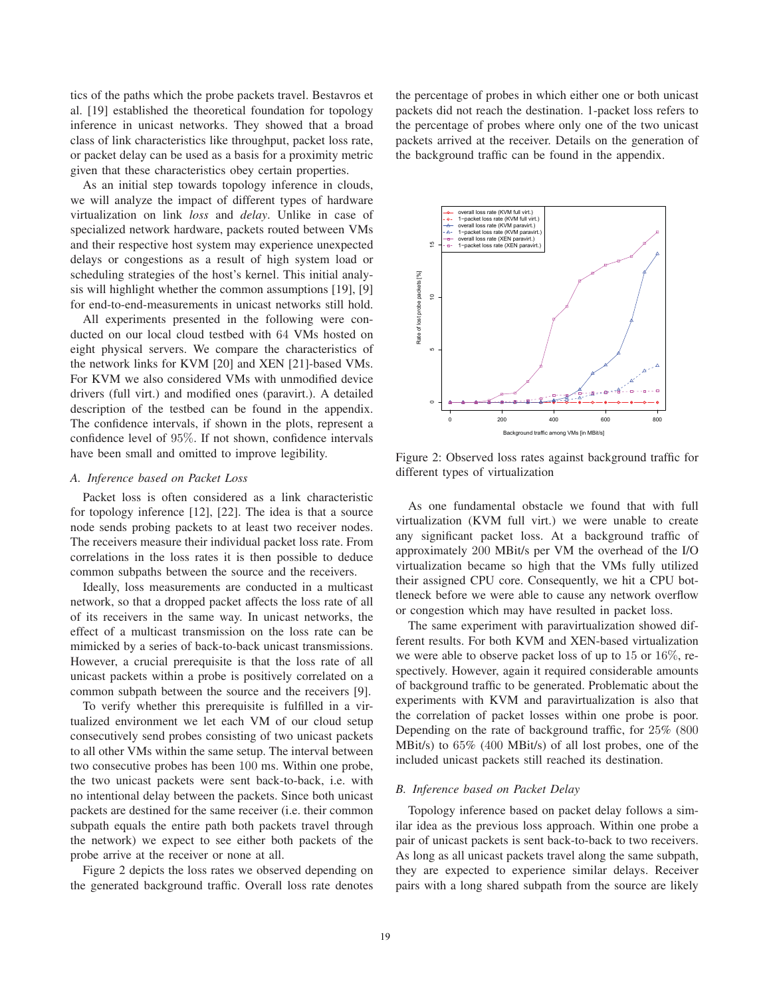tics of the paths which the probe packets travel. Bestavros et al. [19] established the theoretical foundation for topology inference in unicast networks. They showed that a broad class of link characteristics like throughput, packet loss rate, or packet delay can be used as a basis for a proximity metric given that these characteristics obey certain properties.

As an initial step towards topology inference in clouds, we will analyze the impact of different types of hardware virtualization on link *loss* and *delay*. Unlike in case of specialized network hardware, packets routed between VMs and their respective host system may experience unexpected delays or congestions as a result of high system load or scheduling strategies of the host's kernel. This initial analysis will highlight whether the common assumptions [19], [9] for end-to-end-measurements in unicast networks still hold.

All experiments presented in the following were conducted on our local cloud testbed with 64 VMs hosted on eight physical servers. We compare the characteristics of the network links for KVM [20] and XEN [21]-based VMs. For KVM we also considered VMs with unmodified device drivers (full virt.) and modified ones (paravirt.). A detailed description of the testbed can be found in the appendix. The confidence intervals, if shown in the plots, represent a confidence level of 95%. If not shown, confidence intervals have been small and omitted to improve legibility.

## *A. Inference based on Packet Loss*

Packet loss is often considered as a link characteristic for topology inference [12], [22]. The idea is that a source node sends probing packets to at least two receiver nodes. The receivers measure their individual packet loss rate. From correlations in the loss rates it is then possible to deduce common subpaths between the source and the receivers.

Ideally, loss measurements are conducted in a multicast network, so that a dropped packet affects the loss rate of all of its receivers in the same way. In unicast networks, the effect of a multicast transmission on the loss rate can be mimicked by a series of back-to-back unicast transmissions. However, a crucial prerequisite is that the loss rate of all unicast packets within a probe is positively correlated on a common subpath between the source and the receivers [9].

To verify whether this prerequisite is fulfilled in a virtualized environment we let each VM of our cloud setup consecutively send probes consisting of two unicast packets to all other VMs within the same setup. The interval between two consecutive probes has been 100 ms. Within one probe, the two unicast packets were sent back-to-back, i.e. with no intentional delay between the packets. Since both unicast packets are destined for the same receiver (i.e. their common subpath equals the entire path both packets travel through the network) we expect to see either both packets of the probe arrive at the receiver or none at all.

Figure 2 depicts the loss rates we observed depending on the generated background traffic. Overall loss rate denotes the percentage of probes in which either one or both unicast packets did not reach the destination. 1-packet loss refers to the percentage of probes where only one of the two unicast packets arrived at the receiver. Details on the generation of the background traffic can be found in the appendix.



Figure 2: Observed loss rates against background traffic for different types of virtualization

As one fundamental obstacle we found that with full virtualization (KVM full virt.) we were unable to create any significant packet loss. At a background traffic of approximately 200 MBit/s per VM the overhead of the I/O virtualization became so high that the VMs fully utilized their assigned CPU core. Consequently, we hit a CPU bottleneck before we were able to cause any network overflow or congestion which may have resulted in packet loss.

The same experiment with paravirtualization showed different results. For both KVM and XEN-based virtualization we were able to observe packet loss of up to 15 or 16%, respectively. However, again it required considerable amounts of background traffic to be generated. Problematic about the experiments with KVM and paravirtualization is also that the correlation of packet losses within one probe is poor. Depending on the rate of background traffic, for 25% (800 MBit/s) to 65% (400 MBit/s) of all lost probes, one of the included unicast packets still reached its destination.

## *B. Inference based on Packet Delay*

Topology inference based on packet delay follows a similar idea as the previous loss approach. Within one probe a pair of unicast packets is sent back-to-back to two receivers. As long as all unicast packets travel along the same subpath, they are expected to experience similar delays. Receiver pairs with a long shared subpath from the source are likely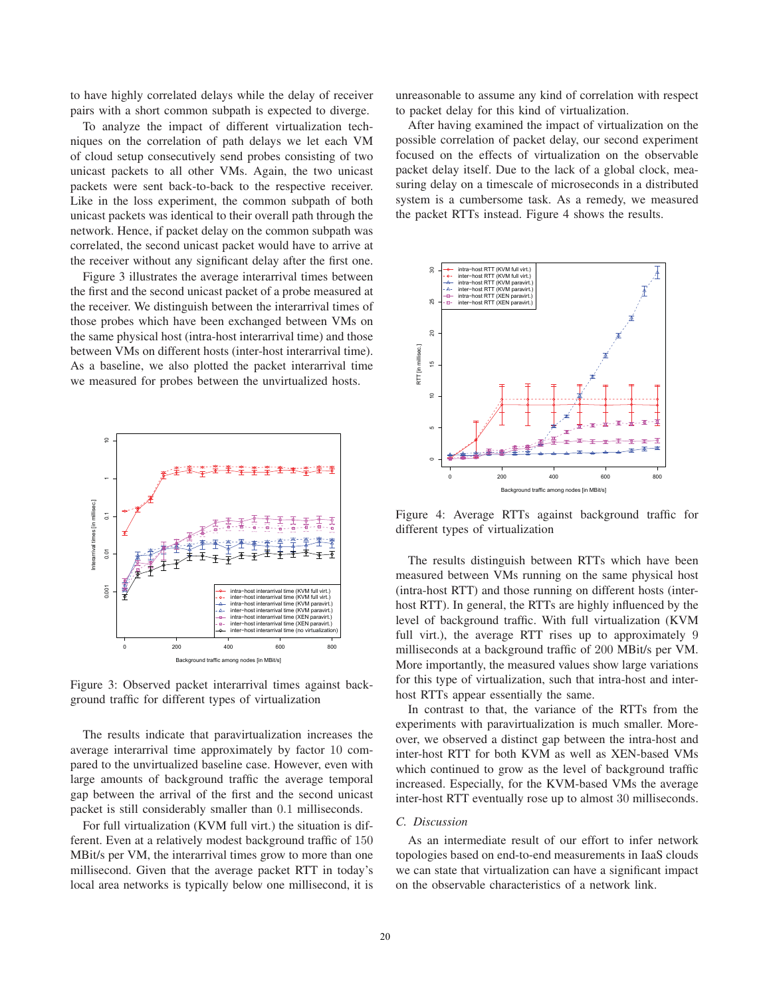to have highly correlated delays while the delay of receiver pairs with a short common subpath is expected to diverge.

To analyze the impact of different virtualization techniques on the correlation of path delays we let each VM of cloud setup consecutively send probes consisting of two unicast packets to all other VMs. Again, the two unicast packets were sent back-to-back to the respective receiver. Like in the loss experiment, the common subpath of both unicast packets was identical to their overall path through the network. Hence, if packet delay on the common subpath was correlated, the second unicast packet would have to arrive at the receiver without any significant delay after the first one.

Figure 3 illustrates the average interarrival times between the first and the second unicast packet of a probe measured at the receiver. We distinguish between the interarrival times of those probes which have been exchanged between VMs on the same physical host (intra-host interarrival time) and those between VMs on different hosts (inter-host interarrival time). As a baseline, we also plotted the packet interarrival time we measured for probes between the unvirtualized hosts.



Figure 3: Observed packet interarrival times against background traffic for different types of virtualization

The results indicate that paravirtualization increases the average interarrival time approximately by factor 10 compared to the unvirtualized baseline case. However, even with large amounts of background traffic the average temporal gap between the arrival of the first and the second unicast packet is still considerably smaller than 0.1 milliseconds.

For full virtualization (KVM full virt.) the situation is different. Even at a relatively modest background traffic of 150 MBit/s per VM, the interarrival times grow to more than one millisecond. Given that the average packet RTT in today's local area networks is typically below one millisecond, it is unreasonable to assume any kind of correlation with respect to packet delay for this kind of virtualization.

After having examined the impact of virtualization on the possible correlation of packet delay, our second experiment focused on the effects of virtualization on the observable packet delay itself. Due to the lack of a global clock, measuring delay on a timescale of microseconds in a distributed system is a cumbersome task. As a remedy, we measured the packet RTTs instead. Figure 4 shows the results.



Figure 4: Average RTTs against background traffic for different types of virtualization

The results distinguish between RTTs which have been measured between VMs running on the same physical host (intra-host RTT) and those running on different hosts (interhost RTT). In general, the RTTs are highly influenced by the level of background traffic. With full virtualization (KVM full virt.), the average RTT rises up to approximately 9 milliseconds at a background traffic of 200 MBit/s per VM. More importantly, the measured values show large variations for this type of virtualization, such that intra-host and interhost RTTs appear essentially the same.

In contrast to that, the variance of the RTTs from the experiments with paravirtualization is much smaller. Moreover, we observed a distinct gap between the intra-host and inter-host RTT for both KVM as well as XEN-based VMs which continued to grow as the level of background traffic increased. Especially, for the KVM-based VMs the average inter-host RTT eventually rose up to almost 30 milliseconds.

# *C. Discussion*

As an intermediate result of our effort to infer network topologies based on end-to-end measurements in IaaS clouds we can state that virtualization can have a significant impact on the observable characteristics of a network link.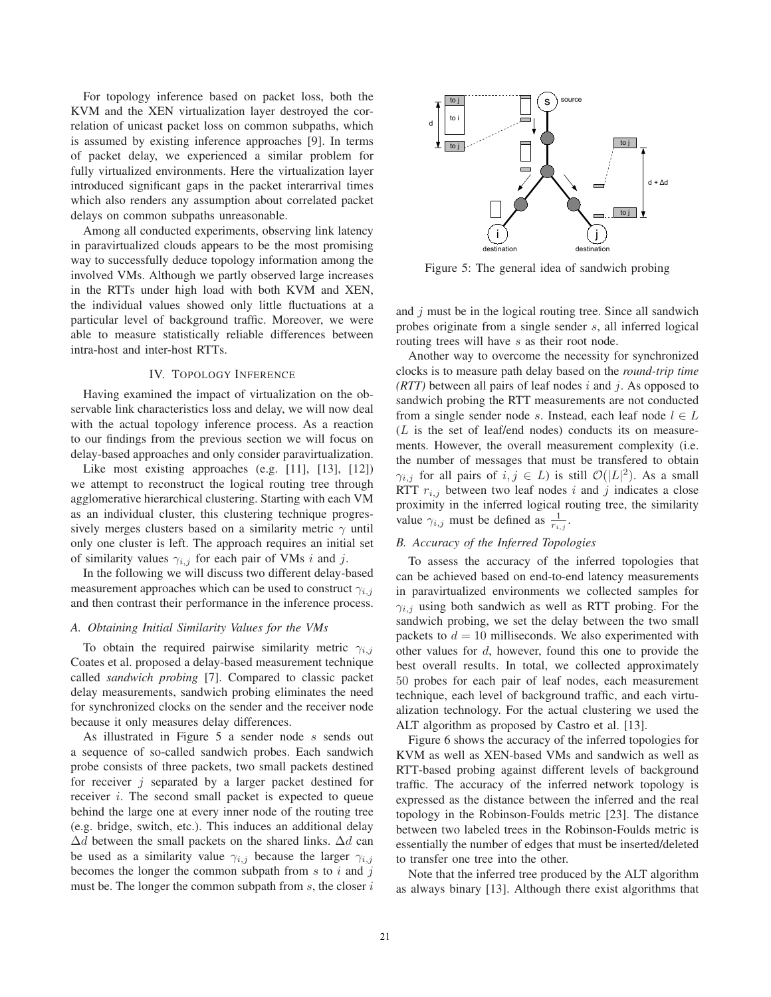For topology inference based on packet loss, both the KVM and the XEN virtualization layer destroyed the correlation of unicast packet loss on common subpaths, which is assumed by existing inference approaches [9]. In terms of packet delay, we experienced a similar problem for fully virtualized environments. Here the virtualization layer introduced significant gaps in the packet interarrival times which also renders any assumption about correlated packet delays on common subpaths unreasonable.

Among all conducted experiments, observing link latency in paravirtualized clouds appears to be the most promising way to successfully deduce topology information among the involved VMs. Although we partly observed large increases in the RTTs under high load with both KVM and XEN, the individual values showed only little fluctuations at a particular level of background traffic. Moreover, we were able to measure statistically reliable differences between intra-host and inter-host RTTs.

#### IV. TOPOLOGY INFERENCE

Having examined the impact of virtualization on the observable link characteristics loss and delay, we will now deal with the actual topology inference process. As a reaction to our findings from the previous section we will focus on delay-based approaches and only consider paravirtualization.

Like most existing approaches (e.g. [11], [13], [12]) we attempt to reconstruct the logical routing tree through agglomerative hierarchical clustering. Starting with each VM as an individual cluster, this clustering technique progressively merges clusters based on a similarity metric  $\gamma$  until only one cluster is left. The approach requires an initial set of similarity values  $\gamma_{i,j}$  for each pair of VMs i and j.

In the following we will discuss two different delay-based measurement approaches which can be used to construct  $\gamma_{i,j}$ and then contrast their performance in the inference process.

#### *A. Obtaining Initial Similarity Values for the VMs*

To obtain the required pairwise similarity metric  $\gamma_{i,j}$ Coates et al. proposed a delay-based measurement technique called *sandwich probing* [7]. Compared to classic packet delay measurements, sandwich probing eliminates the need for synchronized clocks on the sender and the receiver node because it only measures delay differences.

As illustrated in Figure 5 a sender node s sends out a sequence of so-called sandwich probes. Each sandwich probe consists of three packets, two small packets destined for receiver  $j$  separated by a larger packet destined for receiver i. The second small packet is expected to queue behind the large one at every inner node of the routing tree (e.g. bridge, switch, etc.). This induces an additional delay  $\Delta d$  between the small packets on the shared links.  $\Delta d$  can be used as a similarity value  $\gamma_{i,j}$  because the larger  $\gamma_{i,j}$ becomes the longer the common subpath from  $s$  to  $i$  and  $j$ must be. The longer the common subpath from  $s$ , the closer  $i$ 



Figure 5: The general idea of sandwich probing

and  $j$  must be in the logical routing tree. Since all sandwich probes originate from a single sender s, all inferred logical routing trees will have s as their root node.

Another way to overcome the necessity for synchronized clocks is to measure path delay based on the *round-trip time (RTT)* between all pairs of leaf nodes i and j. As opposed to sandwich probing the RTT measurements are not conducted from a single sender node s. Instead, each leaf node  $l \in L$  $(L)$  is the set of leaf/end nodes) conducts its on measurements. However, the overall measurement complexity (i.e. the number of messages that must be transfered to obtain  $\gamma_{i,j}$  for all pairs of  $i, j \in L$ ) is still  $\mathcal{O}(|L|^2)$ . As a small RTT  $r_{i,j}$  between two leaf nodes i and j indicates a close proximity in the inferred logical routing tree, the similarity value  $\gamma_{i,j}$  must be defined as  $\frac{1}{r_{i,j}}$ .

## *B. Accuracy of the Inferred Topologies*

To assess the accuracy of the inferred topologies that can be achieved based on end-to-end latency measurements in paravirtualized environments we collected samples for  $\gamma_{i,j}$  using both sandwich as well as RTT probing. For the sandwich probing, we set the delay between the two small packets to  $d = 10$  milliseconds. We also experimented with other values for d, however, found this one to provide the best overall results. In total, we collected approximately 50 probes for each pair of leaf nodes, each measurement technique, each level of background traffic, and each virtualization technology. For the actual clustering we used the ALT algorithm as proposed by Castro et al. [13].

Figure 6 shows the accuracy of the inferred topologies for KVM as well as XEN-based VMs and sandwich as well as RTT-based probing against different levels of background traffic. The accuracy of the inferred network topology is expressed as the distance between the inferred and the real topology in the Robinson-Foulds metric [23]. The distance between two labeled trees in the Robinson-Foulds metric is essentially the number of edges that must be inserted/deleted to transfer one tree into the other.

Note that the inferred tree produced by the ALT algorithm as always binary [13]. Although there exist algorithms that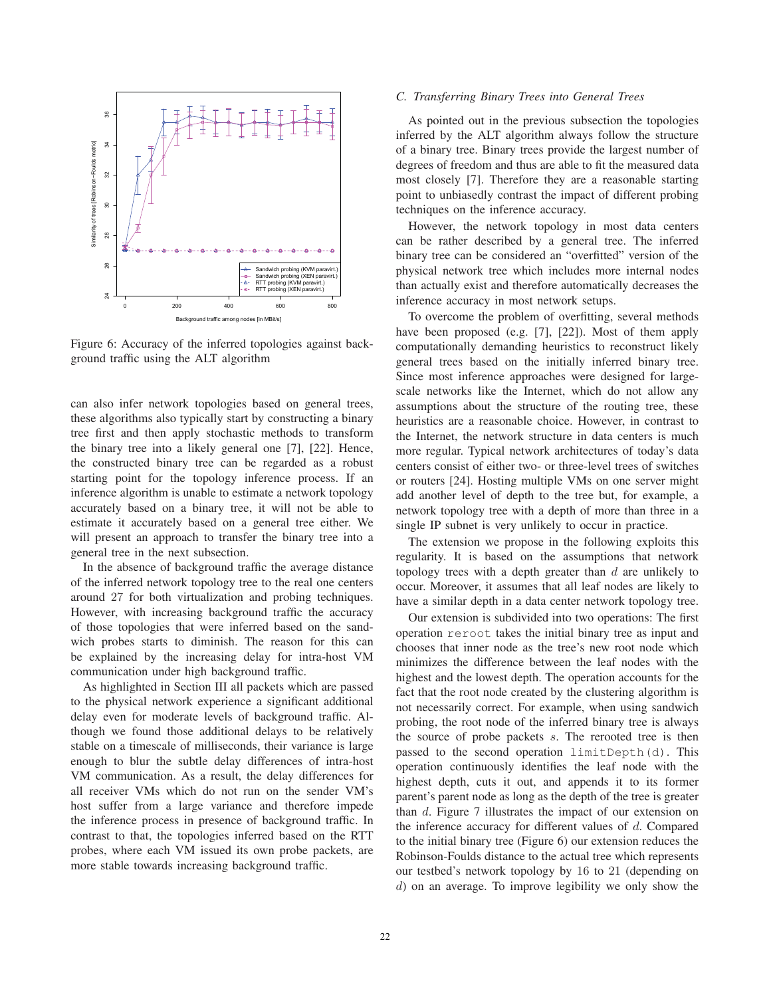

Figure 6: Accuracy of the inferred topologies against background traffic using the ALT algorithm

can also infer network topologies based on general trees, these algorithms also typically start by constructing a binary tree first and then apply stochastic methods to transform the binary tree into a likely general one [7], [22]. Hence, the constructed binary tree can be regarded as a robust starting point for the topology inference process. If an inference algorithm is unable to estimate a network topology accurately based on a binary tree, it will not be able to estimate it accurately based on a general tree either. We will present an approach to transfer the binary tree into a general tree in the next subsection.

In the absence of background traffic the average distance of the inferred network topology tree to the real one centers around 27 for both virtualization and probing techniques. However, with increasing background traffic the accuracy of those topologies that were inferred based on the sandwich probes starts to diminish. The reason for this can be explained by the increasing delay for intra-host VM communication under high background traffic.

As highlighted in Section III all packets which are passed to the physical network experience a significant additional delay even for moderate levels of background traffic. Although we found those additional delays to be relatively stable on a timescale of milliseconds, their variance is large enough to blur the subtle delay differences of intra-host VM communication. As a result, the delay differences for all receiver VMs which do not run on the sender VM's host suffer from a large variance and therefore impede the inference process in presence of background traffic. In contrast to that, the topologies inferred based on the RTT probes, where each VM issued its own probe packets, are more stable towards increasing background traffic.

### *C. Transferring Binary Trees into General Trees*

As pointed out in the previous subsection the topologies inferred by the ALT algorithm always follow the structure of a binary tree. Binary trees provide the largest number of degrees of freedom and thus are able to fit the measured data most closely [7]. Therefore they are a reasonable starting point to unbiasedly contrast the impact of different probing techniques on the inference accuracy.

However, the network topology in most data centers can be rather described by a general tree. The inferred binary tree can be considered an "overfitted" version of the physical network tree which includes more internal nodes than actually exist and therefore automatically decreases the inference accuracy in most network setups.

To overcome the problem of overfitting, several methods have been proposed (e.g. [7], [22]). Most of them apply computationally demanding heuristics to reconstruct likely general trees based on the initially inferred binary tree. Since most inference approaches were designed for largescale networks like the Internet, which do not allow any assumptions about the structure of the routing tree, these heuristics are a reasonable choice. However, in contrast to the Internet, the network structure in data centers is much more regular. Typical network architectures of today's data centers consist of either two- or three-level trees of switches or routers [24]. Hosting multiple VMs on one server might add another level of depth to the tree but, for example, a network topology tree with a depth of more than three in a single IP subnet is very unlikely to occur in practice.

The extension we propose in the following exploits this regularity. It is based on the assumptions that network topology trees with a depth greater than  $d$  are unlikely to occur. Moreover, it assumes that all leaf nodes are likely to have a similar depth in a data center network topology tree.

Our extension is subdivided into two operations: The first operation reroot takes the initial binary tree as input and chooses that inner node as the tree's new root node which minimizes the difference between the leaf nodes with the highest and the lowest depth. The operation accounts for the fact that the root node created by the clustering algorithm is not necessarily correct. For example, when using sandwich probing, the root node of the inferred binary tree is always the source of probe packets s. The rerooted tree is then passed to the second operation limitDepth(d). This operation continuously identifies the leaf node with the highest depth, cuts it out, and appends it to its former parent's parent node as long as the depth of the tree is greater than d. Figure 7 illustrates the impact of our extension on the inference accuracy for different values of  $d$ . Compared to the initial binary tree (Figure 6) our extension reduces the Robinson-Foulds distance to the actual tree which represents our testbed's network topology by 16 to 21 (depending on d) on an average. To improve legibility we only show the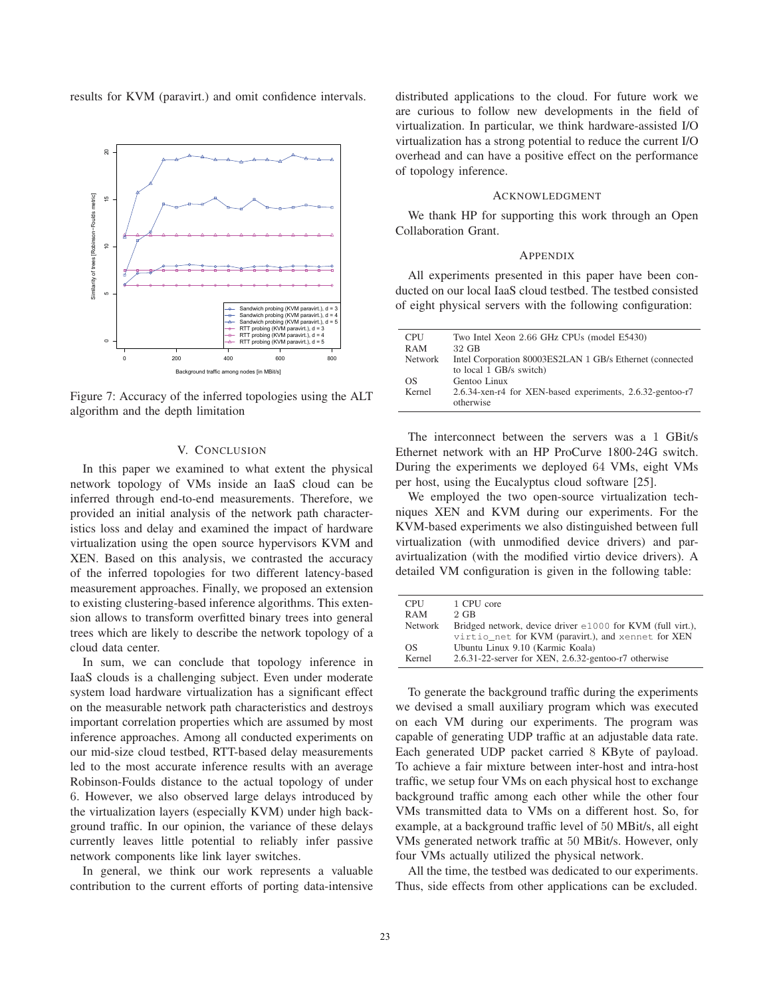results for KVM (paravirt.) and omit confidence intervals.



Figure 7: Accuracy of the inferred topologies using the ALT algorithm and the depth limitation

## V. CONCLUSION

In this paper we examined to what extent the physical network topology of VMs inside an IaaS cloud can be inferred through end-to-end measurements. Therefore, we provided an initial analysis of the network path characteristics loss and delay and examined the impact of hardware virtualization using the open source hypervisors KVM and XEN. Based on this analysis, we contrasted the accuracy of the inferred topologies for two different latency-based measurement approaches. Finally, we proposed an extension to existing clustering-based inference algorithms. This extension allows to transform overfitted binary trees into general trees which are likely to describe the network topology of a cloud data center.

In sum, we can conclude that topology inference in IaaS clouds is a challenging subject. Even under moderate system load hardware virtualization has a significant effect on the measurable network path characteristics and destroys important correlation properties which are assumed by most inference approaches. Among all conducted experiments on our mid-size cloud testbed, RTT-based delay measurements led to the most accurate inference results with an average Robinson-Foulds distance to the actual topology of under 6. However, we also observed large delays introduced by the virtualization layers (especially KVM) under high background traffic. In our opinion, the variance of these delays currently leaves little potential to reliably infer passive network components like link layer switches.

In general, we think our work represents a valuable contribution to the current efforts of porting data-intensive distributed applications to the cloud. For future work we are curious to follow new developments in the field of virtualization. In particular, we think hardware-assisted I/O virtualization has a strong potential to reduce the current I/O overhead and can have a positive effect on the performance of topology inference.

#### ACKNOWLEDGMENT

We thank HP for supporting this work through an Open Collaboration Grant.

#### APPENDIX

All experiments presented in this paper have been conducted on our local IaaS cloud testbed. The testbed consisted of eight physical servers with the following configuration:

| <b>CPU</b><br>RAM | Two Intel Xeon 2.66 GHz CPUs (model E5430)<br>32 GB                                    |
|-------------------|----------------------------------------------------------------------------------------|
| <b>Network</b>    | Intel Corporation 80003ES2LAN 1 GB/s Ethernet (connected<br>to local 1 GB/s switch)    |
| OS.<br>Kernel     | Gentoo Linux<br>2.6.34-xen-r4 for XEN-based experiments, 2.6.32-gentoo-r7<br>otherwise |

The interconnect between the servers was a 1 GBit/s Ethernet network with an HP ProCurve 1800-24G switch. During the experiments we deployed 64 VMs, eight VMs per host, using the Eucalyptus cloud software [25].

We employed the two open-source virtualization techniques XEN and KVM during our experiments. For the KVM-based experiments we also distinguished between full virtualization (with unmodified device drivers) and paravirtualization (with the modified virtio device drivers). A detailed VM configuration is given in the following table:

| <b>CPU</b><br>RAM | 1 CPU core<br>$2$ GB                                       |
|-------------------|------------------------------------------------------------|
| <b>Network</b>    | Bridged network, device driver e1000 for KVM (full virt.), |
|                   | virtio net for KVM (paravirt.), and xennet for XEN         |
| OS                | Ubuntu Linux 9.10 (Karmic Koala)                           |
| Kernel            | 2.6.31-22-server for XEN, 2.6.32-gentoo-r7 otherwise       |

To generate the background traffic during the experiments we devised a small auxiliary program which was executed on each VM during our experiments. The program was capable of generating UDP traffic at an adjustable data rate. Each generated UDP packet carried 8 KByte of payload. To achieve a fair mixture between inter-host and intra-host traffic, we setup four VMs on each physical host to exchange background traffic among each other while the other four VMs transmitted data to VMs on a different host. So, for example, at a background traffic level of 50 MBit/s, all eight VMs generated network traffic at 50 MBit/s. However, only four VMs actually utilized the physical network.

All the time, the testbed was dedicated to our experiments. Thus, side effects from other applications can be excluded.